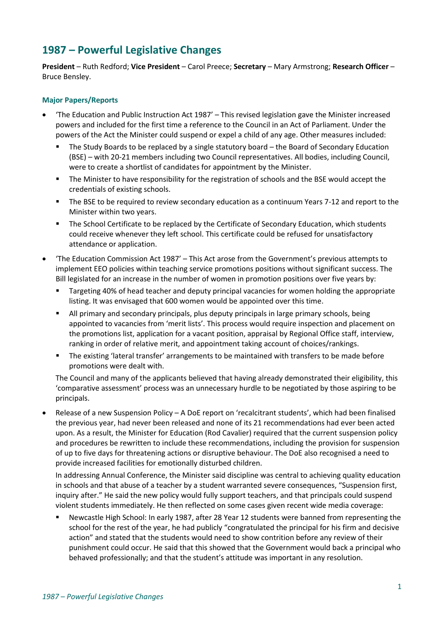# **1987 – Powerful Legislative Changes**

**President** – Ruth Redford; **Vice President** – Carol Preece; **Secretary** – Mary Armstrong; **Research Officer** – Bruce Bensley.

## **Major Papers/Reports**

- 'The Education and Public Instruction Act 1987' This revised legislation gave the Minister increased powers and included for the first time a reference to the Council in an Act of Parliament. Under the powers of the Act the Minister could suspend or expel a child of any age. Other measures included:
	- The Study Boards to be replaced by a single statutory board the Board of Secondary Education (BSE) – with 20-21 members including two Council representatives. All bodies, including Council, were to create a shortlist of candidates for appointment by the Minister.
	- **•** The Minister to have responsibility for the registration of schools and the BSE would accept the credentials of existing schools.
	- The BSE to be required to review secondary education as a continuum Years 7-12 and report to the Minister within two years.
	- The School Certificate to be replaced by the Certificate of Secondary Education, which students could receive whenever they left school. This certificate could be refused for unsatisfactory attendance or application.
- 'The Education Commission Act 1987' This Act arose from the Government's previous attempts to implement EEO policies within teaching service promotions positions without significant success. The Bill legislated for an increase in the number of women in promotion positions over five years by:
	- Targeting 40% of head teacher and deputy principal vacancies for women holding the appropriate listing. It was envisaged that 600 women would be appointed over this time.
	- **E** All primary and secondary principals, plus deputy principals in large primary schools, being appointed to vacancies from 'merit lists'. This process would require inspection and placement on the promotions list, application for a vacant position, appraisal by Regional Office staff, interview, ranking in order of relative merit, and appointment taking account of choices/rankings.
	- The existing 'lateral transfer' arrangements to be maintained with transfers to be made before promotions were dealt with.

The Council and many of the applicants believed that having already demonstrated their eligibility, this 'comparative assessment' process was an unnecessary hurdle to be negotiated by those aspiring to be principals.

• Release of a new Suspension Policy – A DoE report on 'recalcitrant students', which had been finalised the previous year, had never been released and none of its 21 recommendations had ever been acted upon. As a result, the Minister for Education (Rod Cavalier) required that the current suspension policy and procedures be rewritten to include these recommendations, including the provision for suspension of up to five days for threatening actions or disruptive behaviour. The DoE also recognised a need to provide increased facilities for emotionally disturbed children.

In addressing Annual Conference, the Minister said discipline was central to achieving quality education in schools and that abuse of a teacher by a student warranted severe consequences, "Suspension first, inquiry after." He said the new policy would fully support teachers, and that principals could suspend violent students immediately. He then reflected on some cases given recent wide media coverage:

Newcastle High School: In early 1987, after 28 Year 12 students were banned from representing the school for the rest of the year, he had publicly "congratulated the principal for his firm and decisive action" and stated that the students would need to show contrition before any review of their punishment could occur. He said that this showed that the Government would back a principal who behaved professionally; and that the student's attitude was important in any resolution.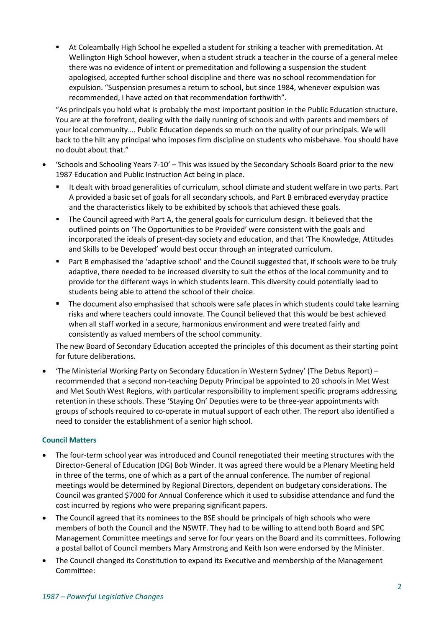▪ At Coleambally High School he expelled a student for striking a teacher with premeditation. At Wellington High School however, when a student struck a teacher in the course of a general melee there was no evidence of intent or premeditation and following a suspension the student apologised, accepted further school discipline and there was no school recommendation for expulsion. "Suspension presumes a return to school, but since 1984, whenever expulsion was recommended, I have acted on that recommendation forthwith".

"As principals you hold what is probably the most important position in the Public Education structure. You are at the forefront, dealing with the daily running of schools and with parents and members of your local community…. Public Education depends so much on the quality of our principals. We will back to the hilt any principal who imposes firm discipline on students who misbehave. You should have no doubt about that."

- 'Schools and Schooling Years 7-10' This was issued by the Secondary Schools Board prior to the new 1987 Education and Public Instruction Act being in place.
	- It dealt with broad generalities of curriculum, school climate and student welfare in two parts. Part A provided a basic set of goals for all secondary schools, and Part B embraced everyday practice and the characteristics likely to be exhibited by schools that achieved these goals.
	- The Council agreed with Part A, the general goals for curriculum design. It believed that the outlined points on 'The Opportunities to be Provided' were consistent with the goals and incorporated the ideals of present-day society and education, and that 'The Knowledge, Attitudes and Skills to be Developed' would best occur through an integrated curriculum.
	- Part B emphasised the 'adaptive school' and the Council suggested that, if schools were to be truly adaptive, there needed to be increased diversity to suit the ethos of the local community and to provide for the different ways in which students learn. This diversity could potentially lead to students being able to attend the school of their choice.
	- The document also emphasised that schools were safe places in which students could take learning risks and where teachers could innovate. The Council believed that this would be best achieved when all staff worked in a secure, harmonious environment and were treated fairly and consistently as valued members of the school community.

The new Board of Secondary Education accepted the principles of this document as their starting point for future deliberations.

• 'The Ministerial Working Party on Secondary Education in Western Sydney' (The Debus Report) – recommended that a second non-teaching Deputy Principal be appointed to 20 schools in Met West and Met South West Regions, with particular responsibility to implement specific programs addressing retention in these schools. These 'Staying On' Deputies were to be three-year appointments with groups of schools required to co-operate in mutual support of each other. The report also identified a need to consider the establishment of a senior high school.

# **Council Matters**

- The four-term school year was introduced and Council renegotiated their meeting structures with the Director-General of Education (DG) Bob Winder. It was agreed there would be a Plenary Meeting held in three of the terms, one of which as a part of the annual conference. The number of regional meetings would be determined by Regional Directors, dependent on budgetary considerations. The Council was granted \$7000 for Annual Conference which it used to subsidise attendance and fund the cost incurred by regions who were preparing significant papers.
- The Council agreed that its nominees to the BSE should be principals of high schools who were members of both the Council and the NSWTF. They had to be willing to attend both Board and SPC Management Committee meetings and serve for four years on the Board and its committees. Following a postal ballot of Council members Mary Armstrong and Keith Ison were endorsed by the Minister.
- The Council changed its Constitution to expand its Executive and membership of the Management Committee: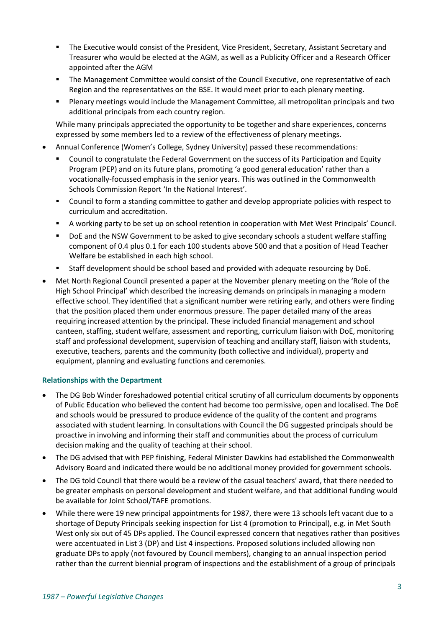- The Executive would consist of the President, Vice President, Secretary, Assistant Secretary and Treasurer who would be elected at the AGM, as well as a Publicity Officer and a Research Officer appointed after the AGM
- The Management Committee would consist of the Council Executive, one representative of each Region and the representatives on the BSE. It would meet prior to each plenary meeting.
- Plenary meetings would include the Management Committee, all metropolitan principals and two additional principals from each country region.

While many principals appreciated the opportunity to be together and share experiences, concerns expressed by some members led to a review of the effectiveness of plenary meetings.

- Annual Conference (Women's College, Sydney University) passed these recommendations:
	- Council to congratulate the Federal Government on the success of its Participation and Equity Program (PEP) and on its future plans, promoting 'a good general education' rather than a vocationally-focussed emphasis in the senior years. This was outlined in the Commonwealth Schools Commission Report 'In the National Interest'.
	- Council to form a standing committee to gather and develop appropriate policies with respect to curriculum and accreditation.
	- A working party to be set up on school retention in cooperation with Met West Principals' Council.
	- DoE and the NSW Government to be asked to give secondary schools a student welfare staffing component of 0.4 plus 0.1 for each 100 students above 500 and that a position of Head Teacher Welfare be established in each high school.
	- Staff development should be school based and provided with adequate resourcing by DoE.
- Met North Regional Council presented a paper at the November plenary meeting on the 'Role of the High School Principal' which described the increasing demands on principals in managing a modern effective school. They identified that a significant number were retiring early, and others were finding that the position placed them under enormous pressure. The paper detailed many of the areas requiring increased attention by the principal. These included financial management and school canteen, staffing, student welfare, assessment and reporting, curriculum liaison with DoE, monitoring staff and professional development, supervision of teaching and ancillary staff, liaison with students, executive, teachers, parents and the community (both collective and individual), property and equipment, planning and evaluating functions and ceremonies.

### **Relationships with the Department**

- The DG Bob Winder foreshadowed potential critical scrutiny of all curriculum documents by opponents of Public Education who believed the content had become too permissive, open and localised. The DoE and schools would be pressured to produce evidence of the quality of the content and programs associated with student learning. In consultations with Council the DG suggested principals should be proactive in involving and informing their staff and communities about the process of curriculum decision making and the quality of teaching at their school.
- The DG advised that with PEP finishing, Federal Minister Dawkins had established the Commonwealth Advisory Board and indicated there would be no additional money provided for government schools.
- The DG told Council that there would be a review of the casual teachers' award, that there needed to be greater emphasis on personal development and student welfare, and that additional funding would be available for Joint School/TAFE promotions.
- While there were 19 new principal appointments for 1987, there were 13 schools left vacant due to a shortage of Deputy Principals seeking inspection for List 4 (promotion to Principal), e.g. in Met South West only six out of 45 DPs applied. The Council expressed concern that negatives rather than positives were accentuated in List 3 (DP) and List 4 inspections. Proposed solutions included allowing non graduate DPs to apply (not favoured by Council members), changing to an annual inspection period rather than the current biennial program of inspections and the establishment of a group of principals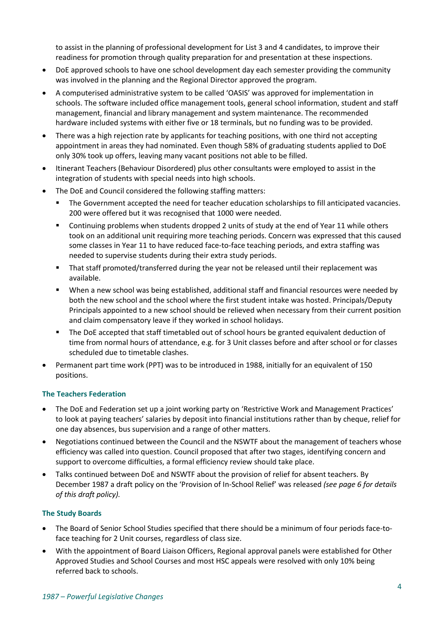to assist in the planning of professional development for List 3 and 4 candidates, to improve their readiness for promotion through quality preparation for and presentation at these inspections.

- DoE approved schools to have one school development day each semester providing the community was involved in the planning and the Regional Director approved the program.
- A computerised administrative system to be called 'OASIS' was approved for implementation in schools. The software included office management tools, general school information, student and staff management, financial and library management and system maintenance. The recommended hardware included systems with either five or 18 terminals, but no funding was to be provided.
- There was a high rejection rate by applicants for teaching positions, with one third not accepting appointment in areas they had nominated. Even though 58% of graduating students applied to DoE only 30% took up offers, leaving many vacant positions not able to be filled.
- Itinerant Teachers (Behaviour Disordered) plus other consultants were employed to assist in the integration of students with special needs into high schools.
- The DoE and Council considered the following staffing matters:
	- The Government accepted the need for teacher education scholarships to fill anticipated vacancies. 200 were offered but it was recognised that 1000 were needed.
	- Continuing problems when students dropped 2 units of study at the end of Year 11 while others took on an additional unit requiring more teaching periods. Concern was expressed that this caused some classes in Year 11 to have reduced face-to-face teaching periods, and extra staffing was needed to supervise students during their extra study periods.
	- That staff promoted/transferred during the year not be released until their replacement was available.
	- When a new school was being established, additional staff and financial resources were needed by both the new school and the school where the first student intake was hosted. Principals/Deputy Principals appointed to a new school should be relieved when necessary from their current position and claim compensatory leave if they worked in school holidays.
	- The DoE accepted that staff timetabled out of school hours be granted equivalent deduction of time from normal hours of attendance, e.g. for 3 Unit classes before and after school or for classes scheduled due to timetable clashes.
- Permanent part time work (PPT) was to be introduced in 1988, initially for an equivalent of 150 positions.

# **The Teachers Federation**

- The DoE and Federation set up a joint working party on 'Restrictive Work and Management Practices' to look at paying teachers' salaries by deposit into financial institutions rather than by cheque, relief for one day absences, bus supervision and a range of other matters.
- Negotiations continued between the Council and the NSWTF about the management of teachers whose efficiency was called into question. Council proposed that after two stages, identifying concern and support to overcome difficulties, a formal efficiency review should take place.
- Talks continued between DoE and NSWTF about the provision of relief for absent teachers. By December 1987 a draft policy on the 'Provision of In-School Relief' was released *(see page 6 for details of this draft policy).*

### **The Study Boards**

- The Board of Senior School Studies specified that there should be a minimum of four periods face-toface teaching for 2 Unit courses, regardless of class size.
- With the appointment of Board Liaison Officers, Regional approval panels were established for Other Approved Studies and School Courses and most HSC appeals were resolved with only 10% being referred back to schools.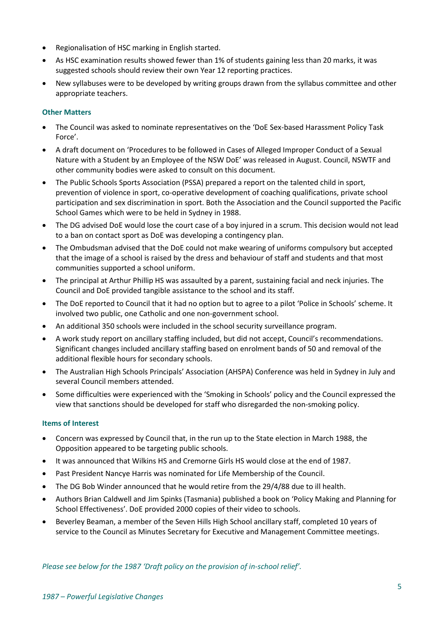- Regionalisation of HSC marking in English started.
- As HSC examination results showed fewer than 1% of students gaining less than 20 marks, it was suggested schools should review their own Year 12 reporting practices.
- New syllabuses were to be developed by writing groups drawn from the syllabus committee and other appropriate teachers.

## **Other Matters**

- The Council was asked to nominate representatives on the 'DoE Sex-based Harassment Policy Task Force'.
- A draft document on 'Procedures to be followed in Cases of Alleged Improper Conduct of a Sexual Nature with a Student by an Employee of the NSW DoE' was released in August. Council, NSWTF and other community bodies were asked to consult on this document.
- The Public Schools Sports Association (PSSA) prepared a report on the talented child in sport, prevention of violence in sport, co-operative development of coaching qualifications, private school participation and sex discrimination in sport. Both the Association and the Council supported the Pacific School Games which were to be held in Sydney in 1988.
- The DG advised DoE would lose the court case of a boy injured in a scrum. This decision would not lead to a ban on contact sport as DoE was developing a contingency plan.
- The Ombudsman advised that the DoE could not make wearing of uniforms compulsory but accepted that the image of a school is raised by the dress and behaviour of staff and students and that most communities supported a school uniform.
- The principal at Arthur Phillip HS was assaulted by a parent, sustaining facial and neck injuries. The Council and DoE provided tangible assistance to the school and its staff.
- The DoE reported to Council that it had no option but to agree to a pilot 'Police in Schools' scheme. It involved two public, one Catholic and one non-government school.
- An additional 350 schools were included in the school security surveillance program.
- A work study report on ancillary staffing included, but did not accept, Council's recommendations. Significant changes included ancillary staffing based on enrolment bands of 50 and removal of the additional flexible hours for secondary schools.
- The Australian High Schools Principals' Association (AHSPA) Conference was held in Sydney in July and several Council members attended.
- Some difficulties were experienced with the 'Smoking in Schools' policy and the Council expressed the view that sanctions should be developed for staff who disregarded the non-smoking policy.

### **Items of Interest**

- Concern was expressed by Council that, in the run up to the State election in March 1988, the Opposition appeared to be targeting public schools.
- It was announced that Wilkins HS and Cremorne Girls HS would close at the end of 1987.
- Past President Nancye Harris was nominated for Life Membership of the Council.
- The DG Bob Winder announced that he would retire from the 29/4/88 due to ill health.
- Authors Brian Caldwell and Jim Spinks (Tasmania) published a book on 'Policy Making and Planning for School Effectiveness'. DoE provided 2000 copies of their video to schools.
- Beverley Beaman, a member of the Seven Hills High School ancillary staff, completed 10 years of service to the Council as Minutes Secretary for Executive and Management Committee meetings.

*Please see below for the 1987 'Draft policy on the provision of in-school relief'.*